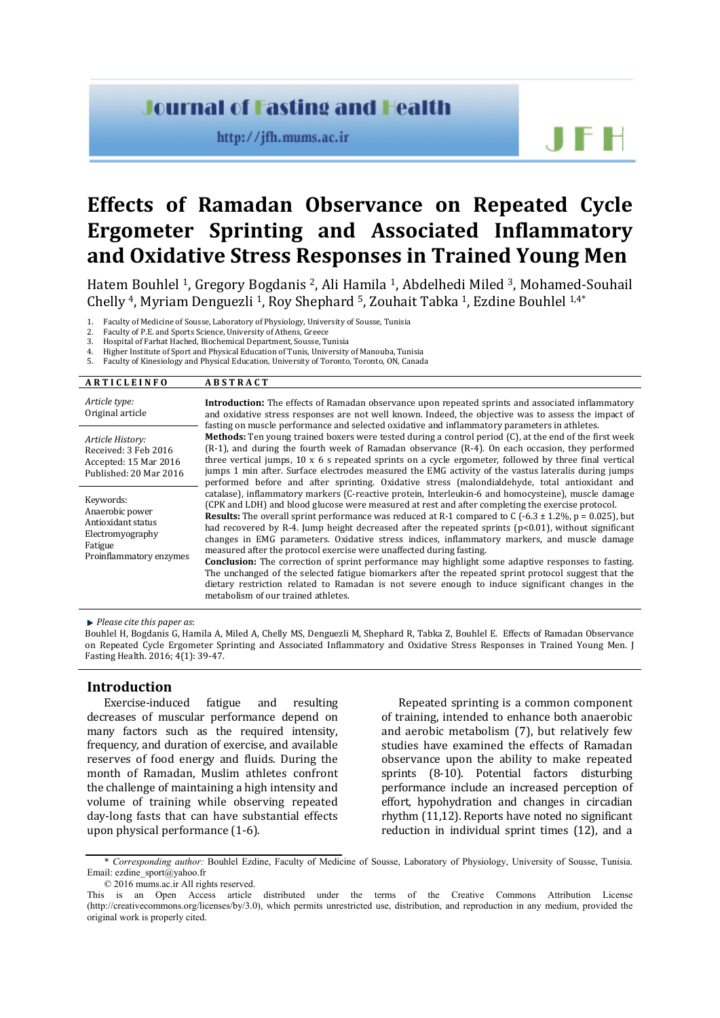## **Journal of Fasting and Health**

http://jfh.mums.ac.ir

# **Effects of Ramadan Observance on Repeated Cycle Ergometer Sprinting and Associated Inflammatory and Oxidative Stress Responses in Trained Young Men**

Hatem Bouhlel 1, Gregory Bogdanis 2, Ali Hamila 1, Abdelhedi Miled 3, Mohamed-Souhail Chelly 4, Myriam Denguezli 1, Roy Shephard 5, Zouhait Tabka 1, Ezdine Bouhlel 1,4\*

1. Faculty of Medicine of Sousse, Laboratory of Physiology, University of Sousse, Tunisia

- 2. Faculty of P.E. and Sports Science, University of Athens, Greece<br>
3. Hospital of Earhat Hached, Biochemical Department, Sousse Ti
- 3. Hospital of Farhat Hached, Biochemical Department, Sousse, Tunisia
- 4. Higher Institute of Sport and Physical Education of Tunis, University of Manouba, Tunisia<br>5. Faculty of Kinesiology and Physical Education, University of Toronto, Toronto, ON, Canad.

5. Faculty of Kinesiology and Physical Education, University of Toronto, Toronto, ON, Canada

#### **A R T I C L E I N F O A B S T R A C T**

| Article type:<br>Original article                                                                            | Introduction: The effects of Ramadan observance upon repeated sprints and associated inflammatory<br>and oxidative stress responses are not well known. Indeed, the objective was to assess the impact of<br>fasting on muscle performance and selected oxidative and inflammatory parameters in athletes.                                                                                                                                                                                                                                                                                                                                                                                                                                                                                                                                                                                                                                                                        |
|--------------------------------------------------------------------------------------------------------------|-----------------------------------------------------------------------------------------------------------------------------------------------------------------------------------------------------------------------------------------------------------------------------------------------------------------------------------------------------------------------------------------------------------------------------------------------------------------------------------------------------------------------------------------------------------------------------------------------------------------------------------------------------------------------------------------------------------------------------------------------------------------------------------------------------------------------------------------------------------------------------------------------------------------------------------------------------------------------------------|
| Article History:<br>Received: 3 Feb 2016<br>Accepted: 15 Mar 2016<br>Published: 20 Mar 2016                  | <b>Methods:</b> Ten young trained boxers were tested during a control period (C), at the end of the first week<br>(R-1), and during the fourth week of Ramadan observance (R-4). On each occasion, they performed<br>three vertical jumps, $10 \times 6$ s repeated sprints on a cycle ergometer, followed by three final vertical<br>jumps 1 min after. Surface electrodes measured the EMG activity of the vastus lateralis during jumps<br>performed before and after sprinting. Oxidative stress (malondialdehyde, total antioxidant and                                                                                                                                                                                                                                                                                                                                                                                                                                      |
| Keywords:<br>Anaerobic power<br>Antioxidant status<br>Electromyography<br>Fatigue<br>Proinflammatory enzymes | catalase), inflammatory markers (C-reactive protein, Interleukin-6 and homocysteine), muscle damage<br>(CPK and LDH) and blood glucose were measured at rest and after completing the exercise protocol.<br><b>Results:</b> The overall sprint performance was reduced at R-1 compared to C (-6.3 $\pm$ 1.2%, p = 0.025), but<br>had recovered by R-4. Jump height decreased after the repeated sprints ( $p<0.01$ ), without significant<br>changes in EMG parameters. Oxidative stress indices, inflammatory markers, and muscle damage<br>measured after the protocol exercise were unaffected during fasting.<br><b>Conclusion:</b> The correction of sprint performance may highlight some adaptive responses to fasting.<br>The unchanged of the selected fatigue biomarkers after the repeated sprint protocol suggest that the<br>dietary restriction related to Ramadan is not severe enough to induce significant changes in the<br>metabolism of our trained athletes. |

*Please cite this paper as*:

Bouhlel H, Bogdanis G, Hamila A, Miled A, Chelly MS, Denguezli M, Shephard R, Tabka Z, Bouhlel E. Effects of Ramadan Observance on Repeated Cycle Ergometer Sprinting and Associated Inflammatory and Oxidative Stress Responses in Trained Young Men. J Fasting Health. 2016; 4(1): 39-47.

#### **Introduction**

Exercise-induced fatigue and resulting decreases of muscular performance depend on many factors such as the required intensity, frequency, and duration of exercise, and available reserves of food energy and fluids. During the month of Ramadan, Muslim athletes confront the challenge of maintaining a high intensity and volume of training while observing repeated day-long fasts that can have substantial effects upon physical performance (1-6).

Repeated sprinting is a common component of training, intended to enhance both anaerobic and aerobic metabolism (7), but relatively few studies have examined the effects of Ramadan observance upon the ability to make repeated sprints (8-10). Potential factors disturbing performance include an increased perception of effort, hypohydration and changes in circadian rhythm (11,12). Reports have noted no significant reduction in individual sprint times (12), and a

<sup>\*</sup> *Corresponding author:* Bouhlel Ezdine, Faculty of Medicine of Sousse, Laboratory of Physiology, University of Sousse, Tunisia. Email[: ezdine\\_sport@yahoo.fr](mailto:ezdine_sport@yahoo.fr)

<sup>© 2016</sup> mums.ac.ir All rights reserved.

This is an Open Access article distributed under the terms of the Creative Commons Attribution License (http://creativecommons.org/licenses/by/3.0), which permits unrestricted use, distribution, and reproduction in any medium, provided the original work is properly cited.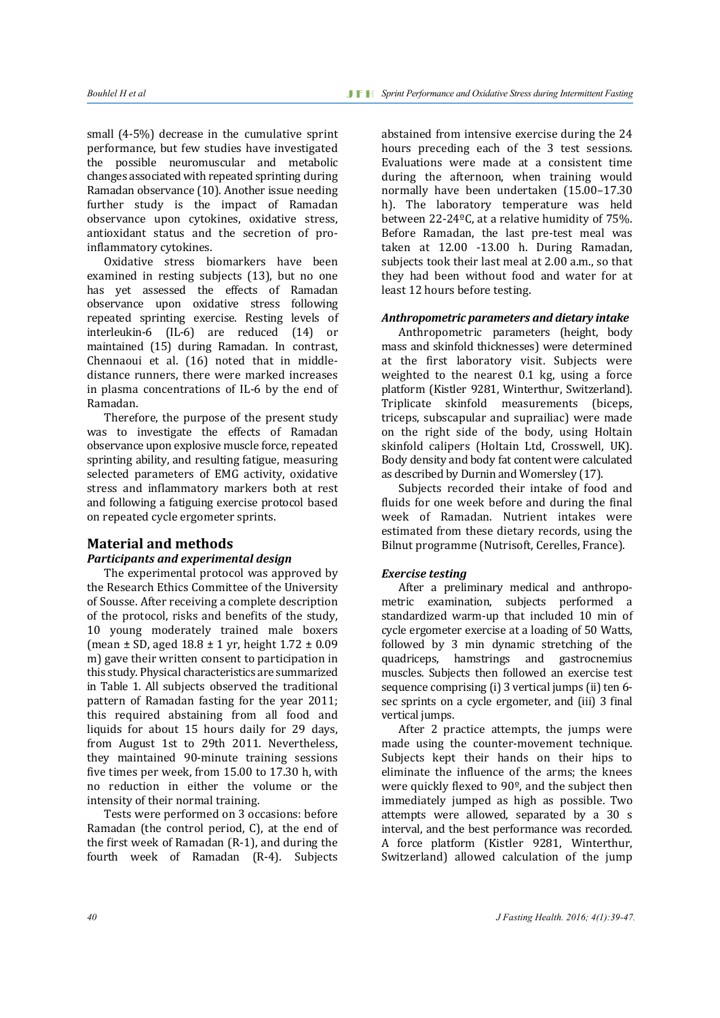small (4-5%) decrease in the cumulative sprint performance, but few studies have investigated the possible neuromuscular and metabolic changes associated with repeated sprinting during Ramadan observance (10). Another issue needing further study is the impact of Ramadan observance upon cytokines, oxidative stress, antioxidant status and the secretion of proinflammatory cytokines.

Oxidative stress biomarkers have been examined in resting subjects (13), but no one has yet assessed the effects of Ramadan observance upon oxidative stress following repeated sprinting exercise. Resting levels of interleukin-6 (IL-6) are reduced (14) or maintained (15) during Ramadan. In contrast, Chennaoui et al. (16) noted that in middledistance runners, there were marked increases in plasma concentrations of IL-6 by the end of Ramadan.

Therefore, the purpose of the present study was to investigate the effects of Ramadan observance upon explosive muscle force, repeated sprinting ability, and resulting fatigue, measuring selected parameters of EMG activity, oxidative stress and inflammatory markers both at rest and following a fatiguing exercise protocol based on repeated cycle ergometer sprints.

### **Material and methods**

#### *Participants and experimental design*

The experimental protocol was approved by the Research Ethics Committee of the University of Sousse. After receiving a complete description of the protocol, risks and benefits of the study, 10 young moderately trained male boxers (mean  $\pm$  SD, aged 18.8  $\pm$  1 yr, height 1.72  $\pm$  0.09 m) gave their written consent to participation in this study. Physical characteristics are summarized in Table 1. All subjects observed the traditional pattern of Ramadan fasting for the year 2011; this required abstaining from all food and liquids for about 15 hours daily for 29 days, from August 1st to 29th 2011. Nevertheless, they maintained 90-minute training sessions five times per week, from 15.00 to 17.30 h, with no reduction in either the volume or the intensity of their normal training.

Tests were performed on 3 occasions: before Ramadan (the control period, C), at the end of the first week of Ramadan (R-1), and during the fourth week of Ramadan (R-4). Subjects

abstained from intensive exercise during the 24 hours preceding each of the 3 test sessions. Evaluations were made at a consistent time during the afternoon, when training would normally have been undertaken (15.00–17.30 h). The laboratory temperature was held between 22-24ºC, at a relative humidity of 75%. Before Ramadan, the last pre-test meal was taken at 12.00 -13.00 h. During Ramadan, subjects took their last meal at 2.00 a.m., so that they had been without food and water for at least 12 hours before testing.

#### *Anthropometric parameters and dietary intake*

Anthropometric parameters (height, body mass and skinfold thicknesses) were determined at the first laboratory visit. Subjects were weighted to the nearest 0.1 kg, using a force platform (Kistler 9281, Winterthur, Switzerland). Triplicate skinfold measurements (biceps, triceps, subscapular and suprailiac) were made on the right side of the body, using Holtain skinfold calipers (Holtain Ltd, Crosswell, UK). Body density and body fat content were calculated as described by Durnin and Womersley (17).

Subjects recorded their intake of food and fluids for one week before and during the final week of Ramadan. Nutrient intakes were estimated from these dietary records, using the Bilnut programme (Nutrisoft, Cerelles, France).

#### *Exercise testing*

After a preliminary medical and anthropometric examination, subjects performed a standardized warm-up that included 10 min of cycle ergometer exercise at a loading of 50 Watts, followed by 3 min dynamic stretching of the quadriceps, hamstrings and gastrocnemius muscles. Subjects then followed an exercise test sequence comprising (i) 3 vertical jumps (ii) ten 6 sec sprints on a cycle ergometer, and (iii) 3 final vertical jumps.

After 2 practice attempts, the jumps were made using the counter-movement technique. Subjects kept their hands on their hips to eliminate the influence of the arms; the knees were quickly flexed to 90º, and the subject then immediately jumped as high as possible. Two attempts were allowed, separated by a 30 s interval, and the best performance was recorded. A force platform (Kistler 9281, Winterthur, Switzerland) allowed calculation of the jump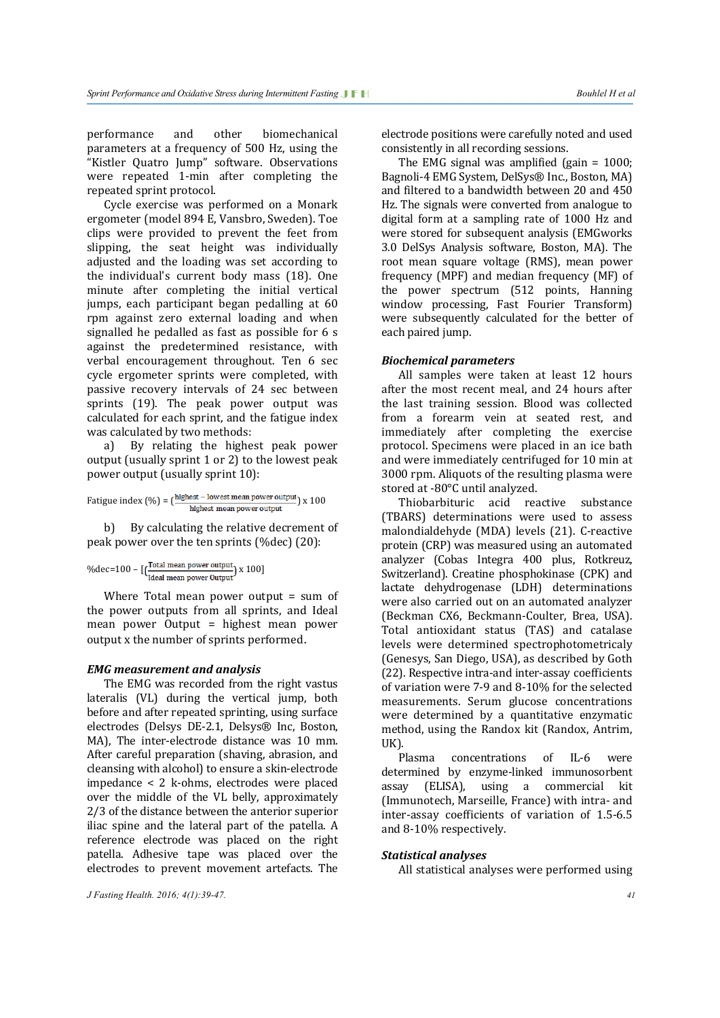performance and other biomechanical parameters at a frequency of 500 Hz, using the "Kistler Quatro Jump" software. Observations were repeated 1-min after completing the repeated sprint protocol.

Cycle exercise was performed on a Monark ergometer (model 894 E, Vansbro, Sweden). Toe clips were provided to prevent the feet from slipping, the seat height was individually adjusted and the loading was set according to the individual's current body mass (18). One minute after completing the initial vertical jumps, each participant began pedalling at 60 rpm against zero external loading and when signalled he pedalled as fast as possible for 6 s against the predetermined resistance, with verbal encouragement throughout. Ten 6 sec cycle ergometer sprints were completed, with passive recovery intervals of 24 sec between sprints (19). The peak power output was calculated for each sprint, and the fatigue index was calculated by two methods:<br>a) By relating the higher

By relating the highest peak power output (usually sprint 1 or 2) to the lowest peak power output (usually sprint 10):

$$
Fatigue index (%) = (\frac{highest - lowest mean power output}{highest mean power output}) x 100
$$

b) By calculating the relative decrement of peak power over the ten sprints (%dec) (20):

$$
\%dec\texttt{=}100 - [\texttt{\textbf{(}Total mean power output \textbf{)}} \; x \; 100]
$$

Where Total mean power output = sum of the power outputs from all sprints, and Ideal mean power Output = highest mean power output x the number of sprints performed.

#### *EMG measurement and analysis*

The EMG was recorded from the right vastus lateralis (VL) during the vertical jump, both before and after repeated sprinting, using surface electrodes (Delsys DE-2.1, Delsys® Inc, Boston, MA), The inter-electrode distance was 10 mm. After careful preparation (shaving, abrasion, and cleansing with alcohol) to ensure a skin-electrode impedance < 2 k-ohms, electrodes were placed over the middle of the VL belly, approximately 2/3 of the distance between the anterior superior iliac spine and the lateral part of the patella. A reference electrode was placed on the right patella. Adhesive tape was placed over the electrodes to prevent movement artefacts. The

electrode positions were carefully noted and used consistently in all recording sessions.

The EMG signal was amplified (gain = 1000; Bagnoli-4 EMG System, DelSys® Inc., Boston, MA) and filtered to a bandwidth between 20 and 450 Hz. The signals were converted from analogue to digital form at a sampling rate of 1000 Hz and were stored for subsequent analysis (EMGworks 3.0 DelSys Analysis software, Boston, MA). The root mean square voltage (RMS), mean power frequency (MPF) and median frequency (MF) of the power spectrum (512 points, Hanning window processing, Fast Fourier Transform) were subsequently calculated for the better of each paired jump.

#### *Biochemical parameters*

All samples were taken at least 12 hours after the most recent meal, and 24 hours after the last training session. Blood was collected from a forearm vein at seated rest, and immediately after completing the exercise protocol. Specimens were placed in an ice bath and were immediately centrifuged for 10 min at 3000 rpm. Aliquots of the resulting plasma were stored at -80°C until analyzed.

Thiobarbituric acid reactive substance (TBARS) determinations were used to assess malondialdehyde (MDA) levels (21). C-reactive protein (CRP) was measured using an automated analyzer (Cobas Integra 400 plus, Rotkreuz, Switzerland). Creatine phosphokinase (CPK) and lactate dehydrogenase (LDH) determinations were also carried out on an automated analyzer (Beckman CX6, Beckmann-Coulter, Brea, USA). Total antioxidant status (TAS) and catalase levels were determined spectrophotometricaly (Genesys, San Diego, USA), as described by Goth (22). Respective intra-and inter-assay coefficients of variation were 7-9 and 8-10% for the selected measurements. Serum glucose concentrations were determined by a quantitative enzymatic method, using the Randox kit (Randox, Antrim, UK).

concentrations of IL-6 were determined by enzyme-linked immunosorbent assay (ELISA), using a commercial kit (Immunotech, Marseille, France) with intra- and inter-assay coefficients of variation of 1.5-6.5 and 8-10% respectively.

#### *Statistical analyses*

All statistical analyses were performed using

*J Fasting Health. 2016; 4(1):39-47. 41*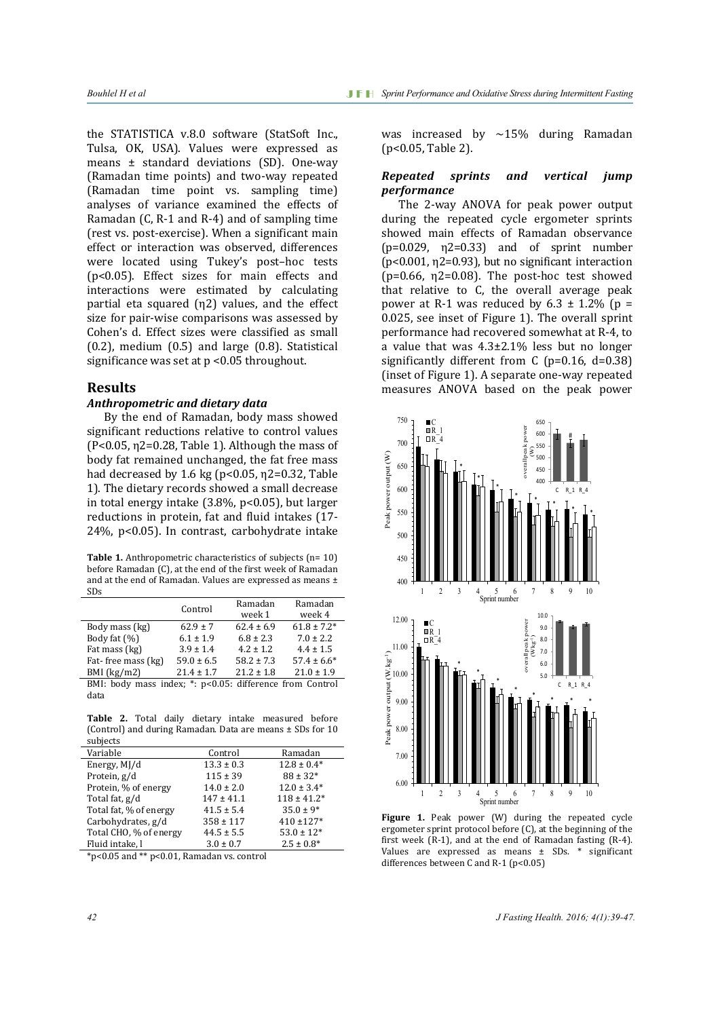the STATISTICA v.8.0 software (StatSoft Inc., Tulsa, OK, USA). Values were expressed as means ± standard deviations (SD). One-way (Ramadan time points) and two-way repeated (Ramadan time point vs. sampling time) analyses of variance examined the effects of Ramadan (C, R-1 and R-4) and of sampling time (rest vs. post-exercise). When a significant main effect or interaction was observed, differences were located using Tukey's post–hoc tests (p<0.05). Effect sizes for main effects and interactions were estimated by calculating partial eta squared (η2) values, and the effect size for pair-wise comparisons was assessed by Cohen's d. Effect sizes were classified as small (0.2), medium (0.5) and large (0.8). Statistical significance was set at  $p < 0.05$  throughout.

#### **Results**

#### *Anthropometric and dietary data*

By the end of Ramadan, body mass showed significant reductions relative to control values (P<0.05, η2=0.28, Table 1). Although the mass of body fat remained unchanged, the fat free mass had decreased by 1.6 kg ( $p<0.05$ ,  $\eta$ 2=0.32, Table 1). The dietary records showed a small decrease in total energy intake (3.8%, p<0.05), but larger reductions in protein, fat and fluid intakes (17- 24%, p<0.05). In contrast, carbohydrate intake

**Table 1.** Anthropometric characteristics of subjects (n= 10) before Ramadan (C), at the end of the first week of Ramadan and at the end of Ramadan. Values are expressed as means ± SDs

|                                                          | Control        | Ramadan<br>week 1 | Ramadan<br>week 4 |  |  |
|----------------------------------------------------------|----------------|-------------------|-------------------|--|--|
| Body mass (kg)                                           | $62.9 \pm 7$   | $62.4 \pm 6.9$    | $61.8 \pm 7.2*$   |  |  |
| Body fat (%)                                             | $6.1 \pm 1.9$  | $6.8 \pm 2.3$     | $7.0 \pm 2.2$     |  |  |
| Fat mass (kg)                                            | $3.9 \pm 1.4$  | $4.2 + 1.2$       | $4.4 \pm 1.5$     |  |  |
| Fat-free mass (kg)                                       | $59.0 \pm 6.5$ | $58.2 \pm 7.3$    | $57.4 \pm 6.6^*$  |  |  |
| $BMI$ (kg/m2)                                            | $21.4 + 1.7$   | $21.2 \pm 1.8$    | $21.0 \pm 1.9$    |  |  |
| BMI: body mass index; *: p<0.05: difference from Control |                |                   |                   |  |  |
| data                                                     |                |                   |                   |  |  |

**Table 2.** Total daily dietary intake measured before (Control) and during Ramadan. Data are means ± SDs for 10 subjects

| Variable               | Control        | Ramadan         |
|------------------------|----------------|-----------------|
| Energy, MJ/d           | $13.3 \pm 0.3$ | $12.8 \pm 0.4*$ |
| Protein, g/d           | $115 \pm 39$   | $88 \pm 32*$    |
| Protein, % of energy   | $14.0 \pm 2.0$ | $12.0 \pm 3.4*$ |
| Total fat, g/d         | $147 \pm 41.1$ | $118 \pm 41.2*$ |
| Total fat, % of energy | $41.5 \pm 5.4$ | $35.0 \pm 9*$   |
| Carbohydrates, g/d     | $358 \pm 117$  | $410 + 127*$    |
| Total CHO, % of energy | $44.5 \pm 5.5$ | $53.0 \pm 12*$  |
| Fluid intake, l        | $3.0 \pm 0.7$  | $2.5 \pm 0.8^*$ |

\*p<0.05 and \*\* p<0.01, Ramadan vs. control

was increased by  $\sim$ 15% during Ramadan (p<0.05, Table 2).

#### *Repeated sprints and vertical jump performance*

The 2-way ANOVA for peak power output during the repeated cycle ergometer sprints showed main effects of Ramadan observance  $(p=0.029, n2=0.33)$  and of sprint number (p<0.001, η2=0.93), but no significant interaction  $(p=0.66, \eta2=0.08)$ . The post-hoc test showed that relative to C, the overall average peak power at R-1 was reduced by  $6.3 \pm 1.2\%$  (p = 0.025, see inset of Figure 1). The overall sprint performance had recovered somewhat at R-4, to a value that was  $4.3\pm2.1\%$  less but no longer significantly different from  $C$  (p=0.16, d=0.38) (inset of Figure 1). A separate one-way repeated measures ANOVA based on the peak power



**Figure 1.** Peak power (W) during the repeated cycle ergometer sprint protocol before (C), at the beginning of the first week (R-1), and at the end of Ramadan fasting (R-4). Values are expressed as means ± SDs. \* significant differences between C and R-1 (p<0.05)

*42 J Fasting Health. 2016; 4(1):39-47.*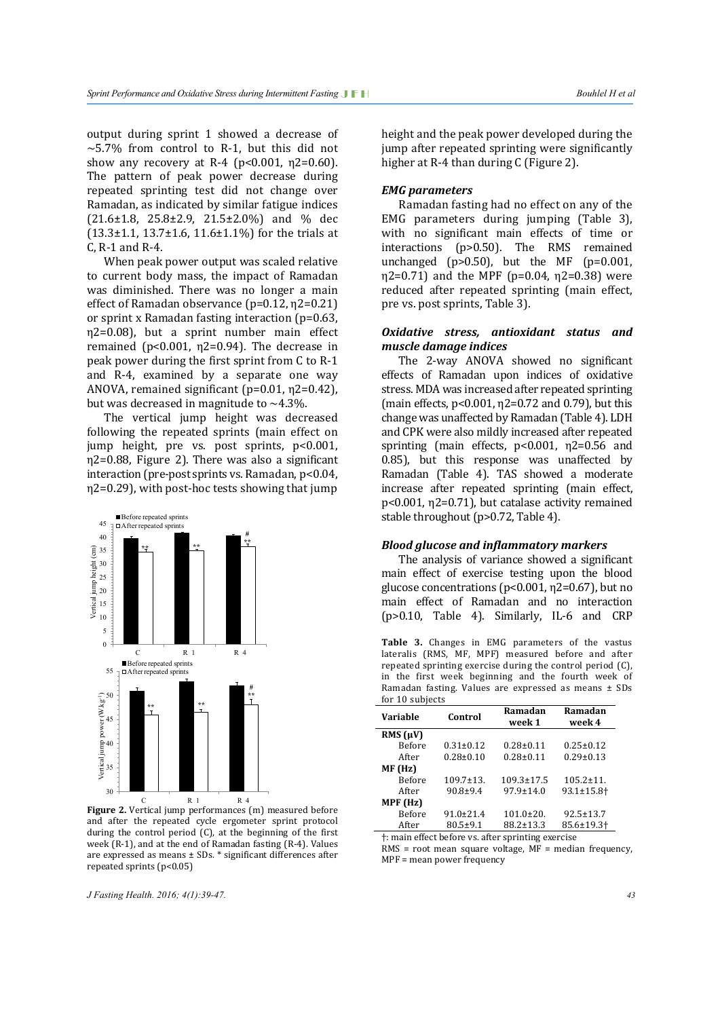output during sprint 1 showed a decrease of  $\sim$  5.7% from control to R-1, but this did not show any recovery at R-4 ( $p$ <0.001,  $n$ 2=0.60). The pattern of peak power decrease during repeated sprinting test did not change over Ramadan, as indicated by similar fatigue indices  $(21.6\pm1.8, 25.8\pm2.9, 21.5\pm2.0\%)$  and % dec  $(13.3\pm1.1, 13.7\pm1.6, 11.6\pm1.1\%)$  for the trials at C, R-1 and R-4.

When peak power output was scaled relative to current body mass, the impact of Ramadan was diminished. There was no longer a main effect of Ramadan observance (p=0.12, η2=0.21) or sprint x Ramadan fasting interaction (p=0.63, η2=0.08), but a sprint number main effect remained (p<0.001, η2=0.94). The decrease in peak power during the first sprint from C to R-1 and R-4, examined by a separate one way ANOVA, remained significant (p=0.01, η2=0.42), but was decreased in magnitude to  $\sim$ 4.3%.

The vertical jump height was decreased following the repeated sprints (main effect on jump height, pre vs. post sprints, p<0.001, η2=0.88, Figure 2). There was also a significant interaction (pre-post sprints vs. Ramadan, p<0.04, η2=0.29), with post-hoc tests showing that jump



**Figure 2.** Vertical jump performances (m) measured before and after the repeated cycle ergometer sprint protocol during the control period (C), at the beginning of the first week (R-1), and at the end of Ramadan fasting (R-4). Values are expressed as means ± SDs. \* significant differences after repeated sprints (p<0.05)

*J Fasting Health. 2016; 4(1):39-47. 43*

height and the peak power developed during the jump after repeated sprinting were significantly higher at R-4 than during C (Figure 2).

#### *EMG parameters*

Ramadan fasting had no effect on any of the EMG parameters during jumping (Table 3), with no significant main effects of time or interactions (p>0.50). The RMS remained unchanged ( $p>0.50$ ), but the MF ( $p=0.001$ ,  $η2=0.71$ ) and the MPF (p=0.04, η2=0.38) were reduced after repeated sprinting (main effect, pre vs. post sprints, Table 3).

#### *Oxidative stress, antioxidant status and muscle damage indices*

The 2-way ANOVA showed no significant effects of Ramadan upon indices of oxidative stress. MDA was increased after repeated sprinting (main effects, p<0.001, η2=0.72 and 0.79), but this change was unaffected by Ramadan (Table 4). LDH and CPK were also mildly increased after repeated sprinting (main effects, p<0.001, η2=0.56 and 0.85), but this response was unaffected by Ramadan (Table 4). TAS showed a moderate increase after repeated sprinting (main effect, p<0.001, η2=0.71), but catalase activity remained stable throughout (p>0.72, Table 4).

#### *Blood glucose and inflammatory markers*

The analysis of variance showed a significant main effect of exercise testing upon the blood glucose concentrations (p<0.001, η2=0.67), but no main effect of Ramadan and no interaction (p>0.10, Table 4). Similarly, IL-6 and CRP

**Table 3.** Changes in EMG parameters of the vastus lateralis (RMS, MF, MPF) measured before and after repeated sprinting exercise during the control period (C), in the first week beginning and the fourth week of Ramadan fasting. Values are expressed as means ± SDs for 10 subjects

| Variable      | Control          | Ramadan<br>week 1 | Ramadan<br>week 4            |
|---------------|------------------|-------------------|------------------------------|
| RMS $(\mu V)$ |                  |                   |                              |
| <b>Before</b> | $0.31 \pm 0.12$  | $0.28 \pm 0.11$   | $0.25 \pm 0.12$              |
| After         | $0.28 \pm 0.10$  | $0.28 \pm 0.11$   | $0.29 \pm 0.13$              |
| MF (Hz)       |                  |                   |                              |
| <b>Before</b> | $109.7 \pm 13$ . | $109.3 \pm 17.5$  | $105.2 \pm 11.$              |
| After         | $90.8 + 9.4$     | $97.9 \pm 14.0$   | $93.1 \pm 15.8$ <sup>+</sup> |
| MPF (Hz)      |                  |                   |                              |
| <b>Before</b> | $91.0 \pm 21.4$  | $101.0 \pm 20.$   | $92.5 \pm 13.7$              |
| After         | $80.5 \pm 9.1$   | $88.2 \pm 13.3$   | 85.6±19.3 <sup>+</sup>       |

†: main effect before vs. after sprinting exercise

 $RMS = root$  mean square voltage,  $MF = median$  frequency, MPF = mean power frequency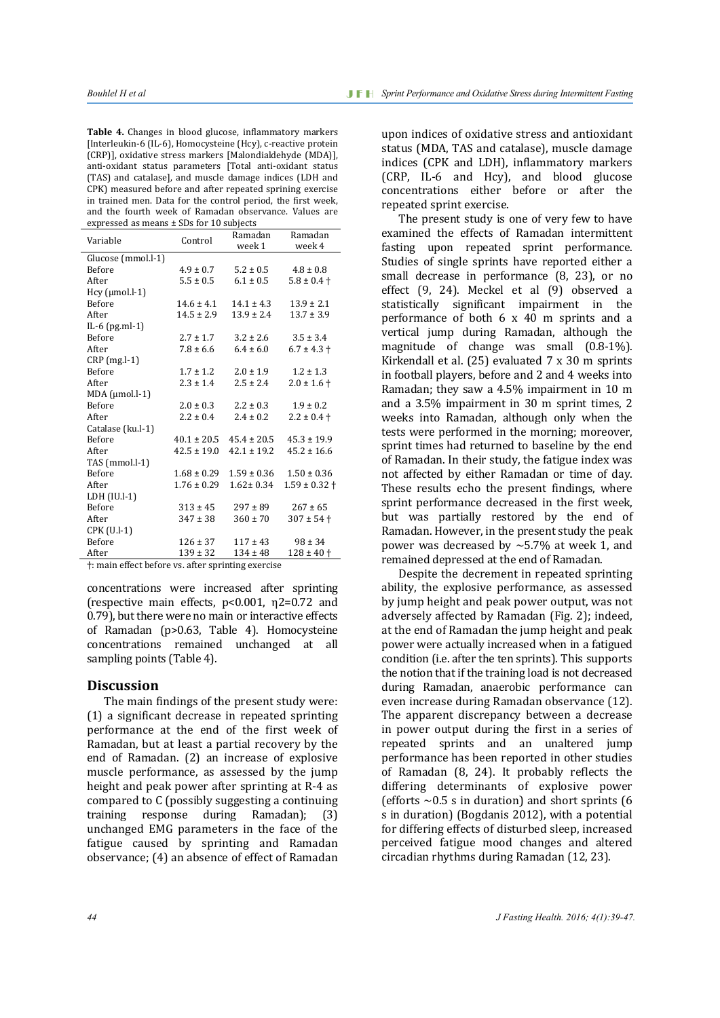**Table 4.** Changes in blood glucose, inflammatory markers [Interleukin-6 (IL-6), Homocysteine (Hcy), c-reactive protein (CRP)], oxidative stress markers [Malondialdehyde (MDA)], anti-oxidant status parameters [Total anti-oxidant status (TAS) and catalase], and muscle damage indices (LDH and CPK) measured before and after repeated sprining exercise in trained men. Data for the control period, the first week, and the fourth week of Ramadan observance. Values are expressed as means ± SDs for 10 subjects

| Variable                                          | Control         | Ramadan         | Ramadan               |  |  |
|---------------------------------------------------|-----------------|-----------------|-----------------------|--|--|
|                                                   |                 | week 1          | week 4                |  |  |
| Glucose (mmol.l-1)                                |                 |                 |                       |  |  |
| <b>Before</b>                                     | $4.9 \pm 0.7$   | $5.2 \pm 0.5$   | $4.8 \pm 0.8$         |  |  |
| After                                             | $5.5 \pm 0.5$   | $6.1 \pm 0.5$   | $5.8 \pm 0.4$ †       |  |  |
| Hcy (µmol.l-1)                                    |                 |                 |                       |  |  |
| <b>Before</b>                                     | $14.6 \pm 4.1$  | $14.1 + 4.3$    | $13.9 \pm 2.1$        |  |  |
| After                                             | $14.5 \pm 2.9$  | $13.9 \pm 2.4$  | $13.7 \pm 3.9$        |  |  |
| IL-6 $(pg.ml-1)$                                  |                 |                 |                       |  |  |
| <b>Before</b>                                     | $2.7 \pm 1.7$   | $3.2 \pm 2.6$   | $3.5 \pm 3.4$         |  |  |
| After                                             | $7.8 \pm 6.6$   | $6.4 \pm 6.0$   | $6.7 \pm 4.3 \pm 1.3$ |  |  |
| $CRP$ (mg.l-1)                                    |                 |                 |                       |  |  |
| <b>Before</b>                                     | $1.7 \pm 1.2$   | $2.0 \pm 1.9$   | $1.2 \pm 1.3$         |  |  |
| After                                             | $2.3 \pm 1.4$   | $2.5 \pm 2.4$   | $2.0 \pm 1.6 \pm 1.6$ |  |  |
| $MDA$ ( $µmol.l-1$ )                              |                 |                 |                       |  |  |
| <b>Before</b>                                     | $2.0 \pm 0.3$   | $2.2 \pm 0.3$   | $1.9 \pm 0.2$         |  |  |
| After                                             | $2.2 \pm 0.4$   | $2.4 \pm 0.2$   | $2.2 \pm 0.4 +$       |  |  |
| Catalase (ku.l-1)                                 |                 |                 |                       |  |  |
| <b>Before</b>                                     | $40.1 \pm 20.5$ | $45.4 \pm 20.5$ | $45.3 \pm 19.9$       |  |  |
| After                                             | $42.5 \pm 19.0$ | $42.1 \pm 19.2$ | $45.2 \pm 16.6$       |  |  |
| TAS (mmol.l-1)                                    |                 |                 |                       |  |  |
| <b>Before</b>                                     | $1.68 \pm 0.29$ | $1.59 \pm 0.36$ | $1.50 \pm 0.36$       |  |  |
| After                                             | $1.76 \pm 0.29$ | $1.62 \pm 0.34$ | $1.59 \pm 0.32$ †     |  |  |
| LDH (IU.I-1)                                      |                 |                 |                       |  |  |
| <b>Before</b>                                     | $313 \pm 45$    | $297 \pm 89$    | $267 \pm 65$          |  |  |
| After                                             | $347 \pm 38$    | $360 \pm 70$    | $307 \pm 54$ +        |  |  |
| CPK (U.I-1)                                       |                 |                 |                       |  |  |
| <b>Before</b>                                     | $126 \pm 37$    | $117 \pm 43$    | $98 \pm 34$           |  |  |
| After                                             | $139 \pm 32$    | $134 \pm 48$    | $128 \pm 40$ †        |  |  |
| † main effect before vs. after sprinting exercise |                 |                 |                       |  |  |
|                                                   |                 |                 |                       |  |  |

concentrations were increased after sprinting (respective main effects, p<0.001, η2=0.72 and 0.79), but there were no main or interactive effects of Ramadan (p>0.63, Table 4). Homocysteine concentrations remained unchanged at all sampling points (Table 4).

#### **Discussion**

The main findings of the present study were: (1) a significant decrease in repeated sprinting performance at the end of the first week of Ramadan, but at least a partial recovery by the end of Ramadan. (2) an increase of explosive muscle performance, as assessed by the jump height and peak power after sprinting at R-4 as compared to C (possibly suggesting a continuing training response during Ramadan): unchanged EMG parameters in the face of the fatigue caused by sprinting and Ramadan observance; (4) an absence of effect of Ramadan upon indices of oxidative stress and antioxidant status (MDA, TAS and catalase), muscle damage indices (CPK and LDH), inflammatory markers (CRP, IL-6 and Hcy), and blood glucose concentrations either before or after the repeated sprint exercise.

The present study is one of very few to have examined the effects of Ramadan intermittent fasting upon repeated sprint performance. Studies of single sprints have reported either a small decrease in performance (8, 23), or no effect (9, 24). Meckel et al (9) observed a statistically significant impairment in the performance of both 6 x 40 m sprints and a vertical jump during Ramadan, although the magnitude of change was small (0.8-1%). Kirkendall et al. (25) evaluated 7 x 30 m sprints in football players, before and 2 and 4 weeks into Ramadan; they saw a 4.5% impairment in 10 m and a 3.5% impairment in 30 m sprint times, 2 weeks into Ramadan, although only when the tests were performed in the morning; moreover, sprint times had returned to baseline by the end of Ramadan. In their study, the fatigue index was not affected by either Ramadan or time of day. These results echo the present findings, where sprint performance decreased in the first week, but was partially restored by the end of Ramadan. However, in the present study the peak power was decreased by  $\sim$  5.7% at week 1, and remained depressed at the end of Ramadan.

Despite the decrement in repeated sprinting ability, the explosive performance, as assessed by jump height and peak power output, was not adversely affected by Ramadan (Fig. 2); indeed, at the end of Ramadan the jump height and peak power were actually increased when in a fatigued condition (i.e. after the ten sprints). This supports the notion that if the training load is not decreased during Ramadan, anaerobic performance can even increase during Ramadan observance (12). The apparent discrepancy between a decrease in power output during the first in a series of repeated sprints and an unaltered jump performance has been reported in other studies of Ramadan (8, 24). It probably reflects the differing determinants of explosive power (efforts  $\sim$  0.5 s in duration) and short sprints (6 s in duration) (Bogdanis 2012), with a potential for differing effects of disturbed sleep, increased perceived fatigue mood changes and altered circadian rhythms during Ramadan (12, 23).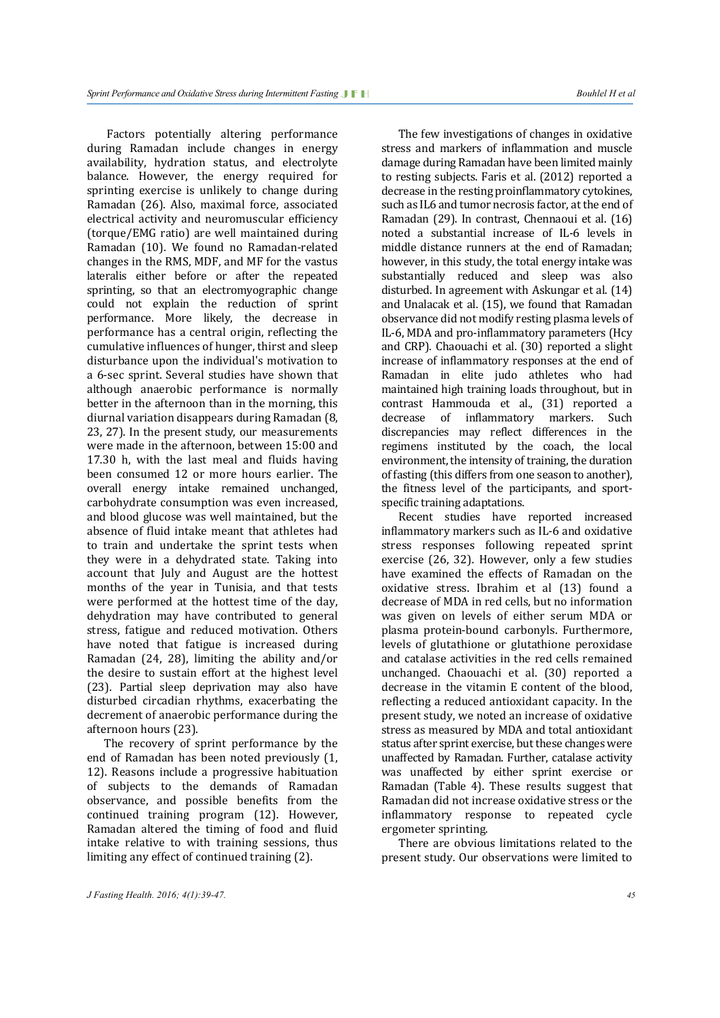Factors potentially altering performance during Ramadan include changes in energy availability, hydration status, and electrolyte balance. However, the energy required for sprinting exercise is unlikely to change during Ramadan (26). Also, maximal force, associated electrical activity and neuromuscular efficiency (torque/EMG ratio) are well maintained during Ramadan (10). We found no Ramadan-related changes in the RMS, MDF, and MF for the vastus lateralis either before or after the repeated sprinting, so that an electromyographic change could not explain the reduction of sprint performance. More likely, the decrease in performance has a central origin, reflecting the cumulative influences of hunger, thirst and sleep disturbance upon the individual's motivation to a 6-sec sprint. Several studies have shown that although anaerobic performance is normally better in the afternoon than in the morning, this diurnal variation disappears during Ramadan (8, 23, 27). In the present study, our measurements were made in the afternoon, between 15:00 and 17.30 h, with the last meal and fluids having been consumed 12 or more hours earlier. The overall energy intake remained unchanged, carbohydrate consumption was even increased, and blood glucose was well maintained, but the absence of fluid intake meant that athletes had to train and undertake the sprint tests when they were in a dehydrated state. Taking into account that July and August are the hottest months of the year in Tunisia, and that tests were performed at the hottest time of the day, dehydration may have contributed to general stress, fatigue and reduced motivation. Others have noted that fatigue is increased during Ramadan (24, 28), limiting the ability and/or the desire to sustain effort at the highest level (23). Partial sleep deprivation may also have disturbed circadian rhythms, exacerbating the decrement of anaerobic performance during the afternoon hours (23).

The recovery of sprint performance by the end of Ramadan has been noted previously (1, 12). Reasons include a progressive habituation of subjects to the demands of Ramadan observance, and possible benefits from the continued training program (12). However, Ramadan altered the timing of food and fluid intake relative to with training sessions, thus limiting any effect of continued training (2).

The few investigations of changes in oxidative stress and markers of inflammation and muscle damage during Ramadan have been limited mainly to resting subjects. Faris et al. (2012) reported a decrease in the resting proinflammatory cytokines, such as IL6 and tumor necrosis factor, at the end of Ramadan (29). In contrast, Chennaoui et al. (16) noted a substantial increase of IL-6 levels in middle distance runners at the end of Ramadan; however, in this study, the total energy intake was substantially reduced and sleep was also disturbed. In agreement with Askungar et al. (14) and Unalacak et al. (15), we found that Ramadan observance did not modify resting plasma levels of IL-6, MDA and pro-inflammatory parameters (Hcy and CRP). Chaouachi et al. (30) reported a slight increase of inflammatory responses at the end of Ramadan in elite judo athletes who had maintained high training loads throughout, but in contrast Hammouda et al., (31) reported a decrease of inflammatory markers. Such of inflammatory markers. discrepancies may reflect differences in the regimens instituted by the coach, the local environment, the intensity of training, the duration of fasting (this differs from one season to another), the fitness level of the participants, and sportspecific training adaptations.

Recent studies have reported increased inflammatory markers such as IL-6 and oxidative stress responses following repeated sprint exercise (26, 32). However, only a few studies have examined the effects of Ramadan on the oxidative stress. Ibrahim et al (13) found a decrease of MDA in red cells, but no information was given on levels of either serum MDA or plasma protein-bound carbonyls. Furthermore, levels of glutathione or glutathione peroxidase and catalase activities in the red cells remained unchanged. Chaouachi et al. (30) reported a decrease in the vitamin E content of the blood, reflecting a reduced antioxidant capacity. In the present study, we noted an increase of oxidative stress as measured by MDA and total antioxidant status after sprint exercise, but these changes were unaffected by Ramadan. Further, catalase activity was unaffected by either sprint exercise or Ramadan (Table 4). These results suggest that Ramadan did not increase oxidative stress or the inflammatory response to repeated cycle ergometer sprinting.

There are obvious limitations related to the present study. Our observations were limited to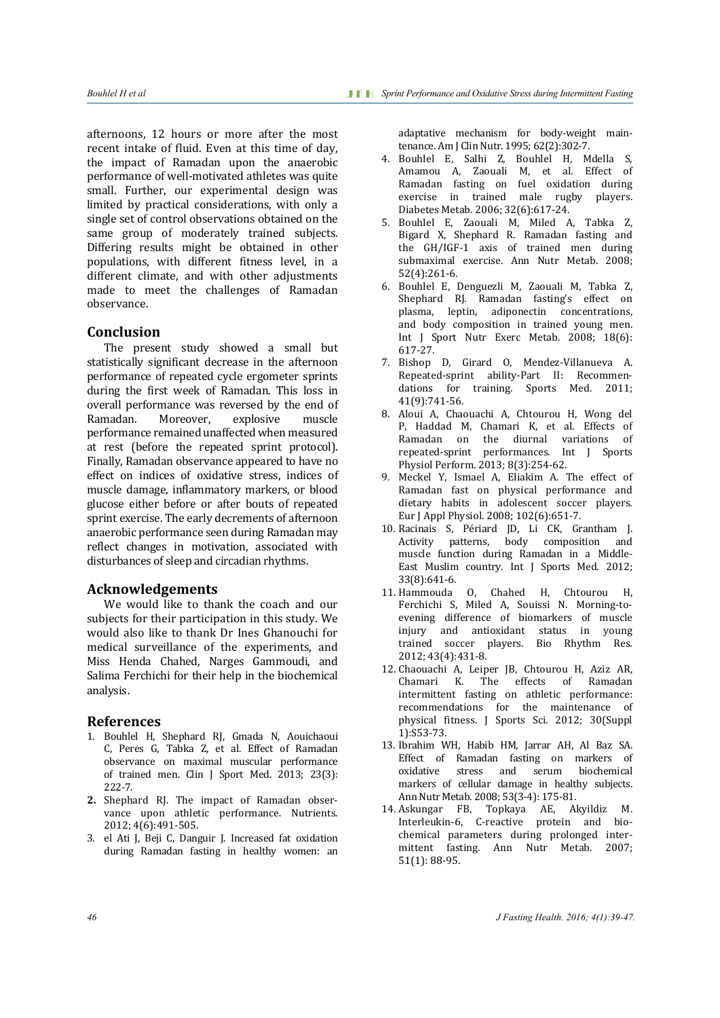afternoons, 12 hours or more after the most recent intake of fluid. Even at this time of day, the impact of Ramadan upon the anaerobic performance of well-motivated athletes was quite small. Further, our experimental design was limited by practical considerations, with only a single set of control observations obtained on the same group of moderately trained subjects. Differing results might be obtained in other populations, with different fitness level, in a different climate, and with other adjustments made to meet the challenges of Ramadan observance.

#### **Conclusion**

The present study showed a small but statistically significant decrease in the afternoon performance of repeated cycle ergometer sprints during the first week of Ramadan. This loss in overall performance was reversed by the end of<br>Ramadan. Moreover, explosive muscle Ramadan. Moreover, explosive muscle performance remained unaffected when measured at rest (before the repeated sprint protocol). Finally, Ramadan observance appeared to have no effect on indices of oxidative stress, indices of muscle damage, inflammatory markers, or blood glucose either before or after bouts of repeated sprint exercise. The early decrements of afternoon anaerobic performance seen during Ramadan may reflect changes in motivation, associated with disturbances of sleep and circadian rhythms.

#### **Acknowledgements**

We would like to thank the coach and our subjects for their participation in this study. We would also like to thank Dr Ines Ghanouchi for medical surveillance of the experiments, and Miss Henda Chahed, Narges Gammoudi, and Salima Ferchichi for their help in the biochemical analysis.

#### **References**

- 1. [Bouhlel](http://www.ncbi.nlm.nih.gov/pubmed?term=Bouhlel%20H%5BAuthor%5D&cauthor=true&cauthor_uid=23160275) H, [Shephard RJ,](http://www.ncbi.nlm.nih.gov/pubmed?term=Shephard%20RJ%5BAuthor%5D&cauthor=true&cauthor_uid=23160275) [Gmada](http://www.ncbi.nlm.nih.gov/pubmed?term=Gmada%20N%5BAuthor%5D&cauthor=true&cauthor_uid=23160275) N, [Aouichaoui](http://www.ncbi.nlm.nih.gov/pubmed?term=Aouichaoui%20C%5BAuthor%5D&cauthor=true&cauthor_uid=23160275)  C, [Peres](http://www.ncbi.nlm.nih.gov/pubmed?term=Peres%20G%5BAuthor%5D&cauthor=true&cauthor_uid=23160275) G, [Tabka Z](http://www.ncbi.nlm.nih.gov/pubmed?term=Tabka%20Z%5BAuthor%5D&cauthor=true&cauthor_uid=23160275), et al. Effect of Ramadan observance on maximal muscular performance of trained men. [Clin J Sport Med.](http://www.ncbi.nlm.nih.gov/pubmed/23160275%23%23) 2013; 23(3): 222-7.
- **2.** Shephard RJ. The impact of Ramadan observance upon athletic performance. Nutrients. 2012; 4(6):491-505.
- 3. el Ati J, Beji C, Danguir J. Increased fat oxidation during Ramadan fasting in healthy women: an

adaptative mechanism for body-weight maintenance. Am J Clin Nutr. 1995; 62(2):302-7.

- 4. Bouhlel E, Salhi Z, Bouhlel H, Mdella S, Amamou A, Zaouali M, et al. Effect of Ramadan fasting on fuel oxidation during<br>exercise in trained male rugby players. male rugby players. Diabetes Metab. 2006; 32(6):617-24.
- 5. Bouhlel E, Zaouali M, Miled A, Tabka Z, Bigard X, Shephard R. Ramadan fasting and the GH/IGF-1 axis of trained men during submaximal exercise. Ann Nutr Metab. 2008; 52(4):261-6.
- 6. Bouhlel E, Denguezli M, Zaouali M, Tabka Z, Shephard RJ. Ramadan fasting's effect on plasma, leptin, adiponectin concentrations, and body composition in trained young men. Int J Sport Nutr Exerc Metab. 2008; 18(6): 617-27.
- 7. Bishop D, Girard O, Mendez-Villanueva A. Repeated-sprint ability-Part II: Recommendations for training. Sports Med. 2011; 41(9):741-56.
- 8. Aloui A, Chaouachi A, Chtourou H, Wong del P, Haddad M, Chamari K, et al. Effects of Ramadan on the diurnal variations of repeated-sprint performances. Int J Sports Physiol Perform. 2013; 8(3):254-62.
- 9. Meckel Y, Ismael A, Eliakim A. The effect of Ramadan fast on physical performance and dietary habits in adolescent soccer players. Eur J Appl Physiol. 2008; 102(6):651-7.
- 10. Racinais S, Périard JD, Li CK, Grantham J. Activity patterns, body composition and muscle function during Ramadan in a Middle-East Muslim country. Int I Sports Med. 2012: 33(8):641-6.
- 11. Hammouda O, Chahed H, Chtourou H, Ferchichi S, Miled A, Souissi N. Morning-toevening difference of biomarkers of muscle injury and antioxidant status in young trained soccer players. Bio Rhythm Res. 2012; 43(4):431-8.
- 12. Chaouachi A, [Leiper JB,](http://www.ncbi.nlm.nih.gov/pubmed?term=Leiper%20JB%5BAuthor%5D&cauthor=true&cauthor_uid=22738880) [Chtourou H,](http://www.ncbi.nlm.nih.gov/pubmed?term=Chtourou%20H%5BAuthor%5D&cauthor=true&cauthor_uid=22738880) [Aziz AR,](http://www.ncbi.nlm.nih.gov/pubmed?term=Aziz%20AR%5BAuthor%5D&cauthor=true&cauthor_uid=22738880)  of Ramadan intermittent fasting on athletic performance: recommendations for the maintenance of physical fitness. [J Sports Sci. 2012;](http://www.ncbi.nlm.nih.gov/pubmed/22738880) 30(Suppl 1):S53-73.
- 13. Ibrahim WH, Habib HM, Jarrar AH, Al Baz SA. Effect of Ramadan fasting on markers of oxidative stress and serum biochemical markers of cellular damage in healthy subjects. Ann Nutr Metab. 2008; 53(3-4): 175-81.
- 14. Askungar FB, Topkaya AE, Akyildiz M. Interleukin-6, C-reactive protein and biochemical parameters during prolonged intermittent fasting. Ann Nutr Metab. 2007; 51(1): 88-95.